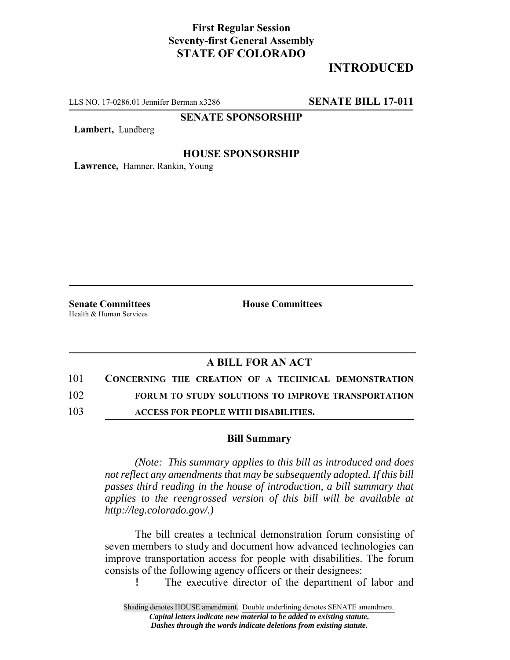## **First Regular Session Seventy-first General Assembly STATE OF COLORADO**

# **INTRODUCED**

LLS NO. 17-0286.01 Jennifer Berman x3286 **SENATE BILL 17-011**

## **SENATE SPONSORSHIP**

**Lambert,** Lundberg

### **HOUSE SPONSORSHIP**

**Lawrence,** Hamner, Rankin, Young

Health & Human Services

**Senate Committees House Committees** 

### **A BILL FOR AN ACT**

101 **CONCERNING THE CREATION OF A TECHNICAL DEMONSTRATION**

102 **FORUM TO STUDY SOLUTIONS TO IMPROVE TRANSPORTATION**

103 **ACCESS FOR PEOPLE WITH DISABILITIES.**

#### **Bill Summary**

*(Note: This summary applies to this bill as introduced and does not reflect any amendments that may be subsequently adopted. If this bill passes third reading in the house of introduction, a bill summary that applies to the reengrossed version of this bill will be available at http://leg.colorado.gov/.)*

The bill creates a technical demonstration forum consisting of seven members to study and document how advanced technologies can improve transportation access for people with disabilities. The forum consists of the following agency officers or their designees:

! The executive director of the department of labor and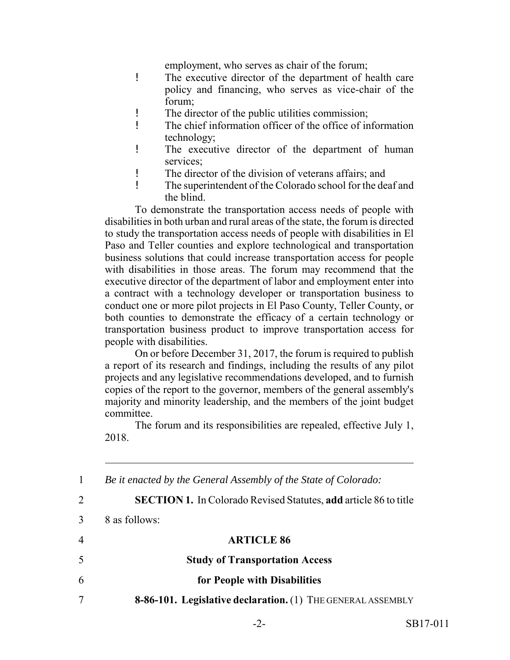employment, who serves as chair of the forum;

- ! The executive director of the department of health care policy and financing, who serves as vice-chair of the forum;
- ! The director of the public utilities commission;
- ! The chief information officer of the office of information technology;
- ! The executive director of the department of human services;
- ! The director of the division of veterans affairs; and
- ! The superintendent of the Colorado school for the deaf and the blind.

To demonstrate the transportation access needs of people with disabilities in both urban and rural areas of the state, the forum is directed to study the transportation access needs of people with disabilities in El Paso and Teller counties and explore technological and transportation business solutions that could increase transportation access for people with disabilities in those areas. The forum may recommend that the executive director of the department of labor and employment enter into a contract with a technology developer or transportation business to conduct one or more pilot projects in El Paso County, Teller County, or both counties to demonstrate the efficacy of a certain technology or transportation business product to improve transportation access for people with disabilities.

On or before December 31, 2017, the forum is required to publish a report of its research and findings, including the results of any pilot projects and any legislative recommendations developed, and to furnish copies of the report to the governor, members of the general assembly's majority and minority leadership, and the members of the joint budget committee.

The forum and its responsibilities are repealed, effective July 1, 2018.

|   | Be it enacted by the General Assembly of the State of Colorado:         |
|---|-------------------------------------------------------------------------|
| 2 | <b>SECTION 1.</b> In Colorado Revised Statutes, add article 86 to title |
| 3 | 8 as follows:                                                           |
| 4 | <b>ARTICLE 86</b>                                                       |
| 5 | <b>Study of Transportation Access</b>                                   |
| 6 | for People with Disabilities                                            |
| 7 | <b>8-86-101. Legislative declaration.</b> (1) THE GENERAL ASSEMBLY      |
|   |                                                                         |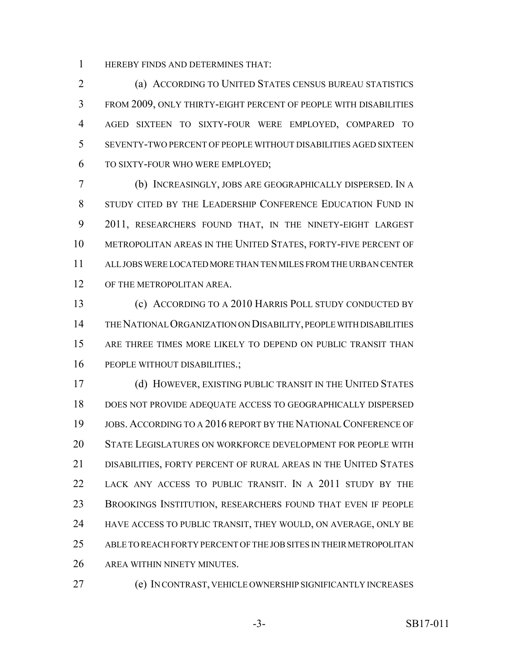HEREBY FINDS AND DETERMINES THAT:

 (a) ACCORDING TO UNITED STATES CENSUS BUREAU STATISTICS FROM 2009, ONLY THIRTY-EIGHT PERCENT OF PEOPLE WITH DISABILITIES AGED SIXTEEN TO SIXTY-FOUR WERE EMPLOYED, COMPARED TO SEVENTY-TWO PERCENT OF PEOPLE WITHOUT DISABILITIES AGED SIXTEEN TO SIXTY-FOUR WHO WERE EMPLOYED;

 (b) INCREASINGLY, JOBS ARE GEOGRAPHICALLY DISPERSED. IN A 8 STUDY CITED BY THE LEADERSHIP CONFERENCE EDUCATION FUND IN 2011, RESEARCHERS FOUND THAT, IN THE NINETY-EIGHT LARGEST METROPOLITAN AREAS IN THE UNITED STATES, FORTY-FIVE PERCENT OF ALL JOBS WERE LOCATED MORE THAN TEN MILES FROM THE URBAN CENTER OF THE METROPOLITAN AREA.

 (c) ACCORDING TO A 2010 HARRIS POLL STUDY CONDUCTED BY THE NATIONAL ORGANIZATION ON DISABILITY, PEOPLE WITH DISABILITIES ARE THREE TIMES MORE LIKELY TO DEPEND ON PUBLIC TRANSIT THAN 16 PEOPLE WITHOUT DISABILITIES.;

 (d) HOWEVER, EXISTING PUBLIC TRANSIT IN THE UNITED STATES DOES NOT PROVIDE ADEQUATE ACCESS TO GEOGRAPHICALLY DISPERSED JOBS. ACCORDING TO A 2016 REPORT BY THE NATIONAL CONFERENCE OF STATE LEGISLATURES ON WORKFORCE DEVELOPMENT FOR PEOPLE WITH DISABILITIES, FORTY PERCENT OF RURAL AREAS IN THE UNITED STATES LACK ANY ACCESS TO PUBLIC TRANSIT. IN A 2011 STUDY BY THE BROOKINGS INSTITUTION, RESEARCHERS FOUND THAT EVEN IF PEOPLE 24 HAVE ACCESS TO PUBLIC TRANSIT, THEY WOULD, ON AVERAGE, ONLY BE ABLE TO REACH FORTY PERCENT OF THE JOB SITES IN THEIR METROPOLITAN AREA WITHIN NINETY MINUTES.

(e) IN CONTRAST, VEHICLE OWNERSHIP SIGNIFICANTLY INCREASES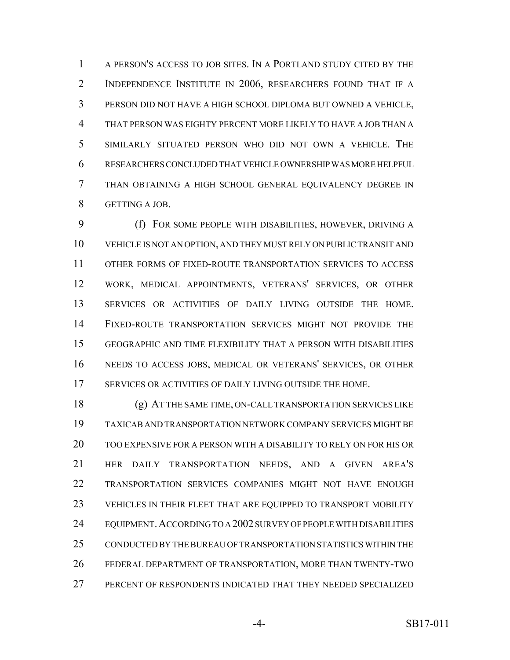A PERSON'S ACCESS TO JOB SITES. IN A PORTLAND STUDY CITED BY THE INDEPENDENCE INSTITUTE IN 2006, RESEARCHERS FOUND THAT IF A PERSON DID NOT HAVE A HIGH SCHOOL DIPLOMA BUT OWNED A VEHICLE, THAT PERSON WAS EIGHTY PERCENT MORE LIKELY TO HAVE A JOB THAN A SIMILARLY SITUATED PERSON WHO DID NOT OWN A VEHICLE. THE RESEARCHERS CONCLUDED THAT VEHICLE OWNERSHIP WAS MORE HELPFUL THAN OBTAINING A HIGH SCHOOL GENERAL EQUIVALENCY DEGREE IN GETTING A JOB.

 (f) FOR SOME PEOPLE WITH DISABILITIES, HOWEVER, DRIVING A VEHICLE IS NOT AN OPTION, AND THEY MUST RELY ON PUBLIC TRANSIT AND OTHER FORMS OF FIXED-ROUTE TRANSPORTATION SERVICES TO ACCESS WORK, MEDICAL APPOINTMENTS, VETERANS' SERVICES, OR OTHER SERVICES OR ACTIVITIES OF DAILY LIVING OUTSIDE THE HOME. FIXED-ROUTE TRANSPORTATION SERVICES MIGHT NOT PROVIDE THE GEOGRAPHIC AND TIME FLEXIBILITY THAT A PERSON WITH DISABILITIES NEEDS TO ACCESS JOBS, MEDICAL OR VETERANS' SERVICES, OR OTHER SERVICES OR ACTIVITIES OF DAILY LIVING OUTSIDE THE HOME.

 (g) AT THE SAME TIME, ON-CALL TRANSPORTATION SERVICES LIKE TAXICAB AND TRANSPORTATION NETWORK COMPANY SERVICES MIGHT BE TOO EXPENSIVE FOR A PERSON WITH A DISABILITY TO RELY ON FOR HIS OR HER DAILY TRANSPORTATION NEEDS, AND A GIVEN AREA'S TRANSPORTATION SERVICES COMPANIES MIGHT NOT HAVE ENOUGH VEHICLES IN THEIR FLEET THAT ARE EQUIPPED TO TRANSPORT MOBILITY EQUIPMENT.ACCORDING TO A 2002 SURVEY OF PEOPLE WITH DISABILITIES CONDUCTED BY THE BUREAU OF TRANSPORTATION STATISTICS WITHIN THE FEDERAL DEPARTMENT OF TRANSPORTATION, MORE THAN TWENTY-TWO PERCENT OF RESPONDENTS INDICATED THAT THEY NEEDED SPECIALIZED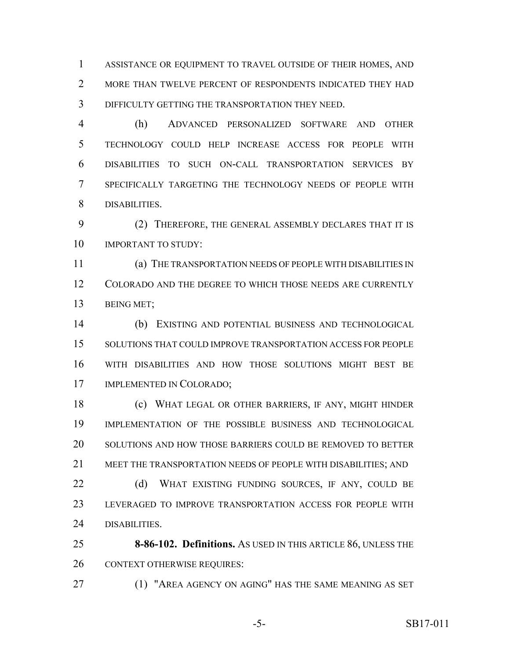ASSISTANCE OR EQUIPMENT TO TRAVEL OUTSIDE OF THEIR HOMES, AND 2 MORE THAN TWELVE PERCENT OF RESPONDENTS INDICATED THEY HAD DIFFICULTY GETTING THE TRANSPORTATION THEY NEED.

 (h) ADVANCED PERSONALIZED SOFTWARE AND OTHER TECHNOLOGY COULD HELP INCREASE ACCESS FOR PEOPLE WITH DISABILITIES TO SUCH ON-CALL TRANSPORTATION SERVICES BY SPECIFICALLY TARGETING THE TECHNOLOGY NEEDS OF PEOPLE WITH DISABILITIES.

 (2) THEREFORE, THE GENERAL ASSEMBLY DECLARES THAT IT IS 10 IMPORTANT TO STUDY:

 (a) THE TRANSPORTATION NEEDS OF PEOPLE WITH DISABILITIES IN COLORADO AND THE DEGREE TO WHICH THOSE NEEDS ARE CURRENTLY BEING MET;

 (b) EXISTING AND POTENTIAL BUSINESS AND TECHNOLOGICAL SOLUTIONS THAT COULD IMPROVE TRANSPORTATION ACCESS FOR PEOPLE WITH DISABILITIES AND HOW THOSE SOLUTIONS MIGHT BEST BE IMPLEMENTED IN COLORADO;

 (c) WHAT LEGAL OR OTHER BARRIERS, IF ANY, MIGHT HINDER IMPLEMENTATION OF THE POSSIBLE BUSINESS AND TECHNOLOGICAL SOLUTIONS AND HOW THOSE BARRIERS COULD BE REMOVED TO BETTER MEET THE TRANSPORTATION NEEDS OF PEOPLE WITH DISABILITIES; AND

22 (d) WHAT EXISTING FUNDING SOURCES, IF ANY, COULD BE LEVERAGED TO IMPROVE TRANSPORTATION ACCESS FOR PEOPLE WITH DISABILITIES.

 **8-86-102. Definitions.** AS USED IN THIS ARTICLE 86, UNLESS THE CONTEXT OTHERWISE REQUIRES:

(1) "AREA AGENCY ON AGING" HAS THE SAME MEANING AS SET

-5- SB17-011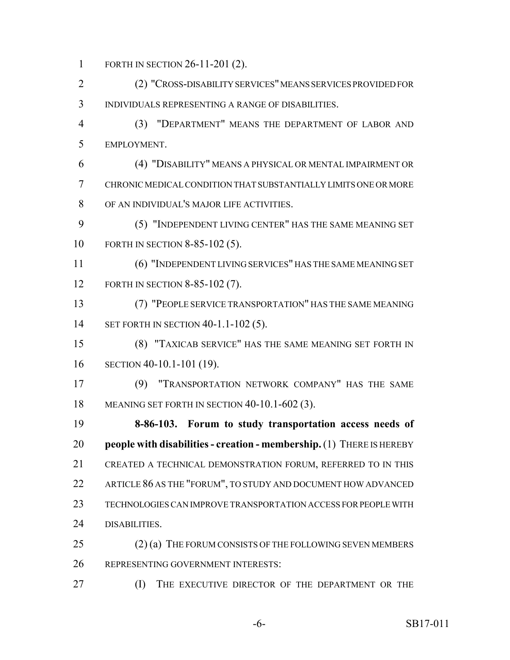FORTH IN SECTION 26-11-201 (2).

 (2) "CROSS-DISABILITY SERVICES" MEANS SERVICES PROVIDED FOR INDIVIDUALS REPRESENTING A RANGE OF DISABILITIES.

 (3) "DEPARTMENT" MEANS THE DEPARTMENT OF LABOR AND EMPLOYMENT.

 (4) "DISABILITY" MEANS A PHYSICAL OR MENTAL IMPAIRMENT OR CHRONIC MEDICAL CONDITION THAT SUBSTANTIALLY LIMITS ONE OR MORE OF AN INDIVIDUAL'S MAJOR LIFE ACTIVITIES.

 (5) "INDEPENDENT LIVING CENTER" HAS THE SAME MEANING SET FORTH IN SECTION 8-85-102 (5).

 (6) "INDEPENDENT LIVING SERVICES" HAS THE SAME MEANING SET FORTH IN SECTION 8-85-102 (7).

 (7) "PEOPLE SERVICE TRANSPORTATION" HAS THE SAME MEANING 14 SET FORTH IN SECTION 40-1.1-102 (5).

 (8) "TAXICAB SERVICE" HAS THE SAME MEANING SET FORTH IN SECTION 40-10.1-101 (19).

 (9) "TRANSPORTATION NETWORK COMPANY" HAS THE SAME MEANING SET FORTH IN SECTION 40-10.1-602 (3).

 **8-86-103. Forum to study transportation access needs of people with disabilities - creation - membership.** (1) THERE IS HEREBY CREATED A TECHNICAL DEMONSTRATION FORUM, REFERRED TO IN THIS ARTICLE 86 AS THE "FORUM", TO STUDY AND DOCUMENT HOW ADVANCED TECHNOLOGIES CAN IMPROVE TRANSPORTATION ACCESS FOR PEOPLE WITH DISABILITIES.

25 (2) (a) THE FORUM CONSISTS OF THE FOLLOWING SEVEN MEMBERS REPRESENTING GOVERNMENT INTERESTS:

(I) THE EXECUTIVE DIRECTOR OF THE DEPARTMENT OR THE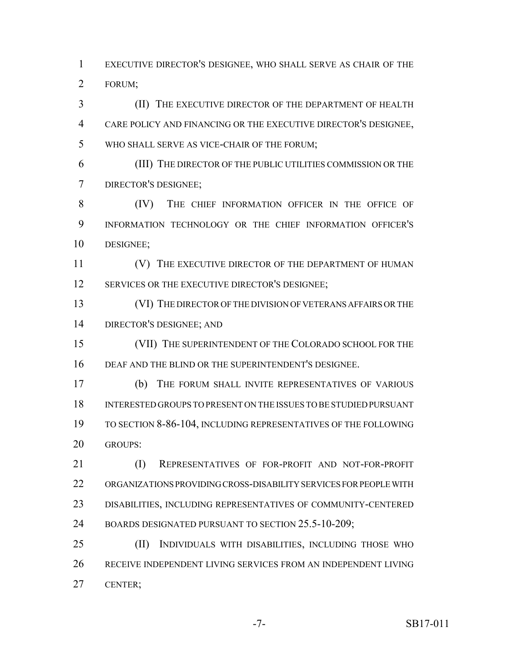EXECUTIVE DIRECTOR'S DESIGNEE, WHO SHALL SERVE AS CHAIR OF THE FORUM;

 (II) THE EXECUTIVE DIRECTOR OF THE DEPARTMENT OF HEALTH CARE POLICY AND FINANCING OR THE EXECUTIVE DIRECTOR'S DESIGNEE, WHO SHALL SERVE AS VICE-CHAIR OF THE FORUM;

 (III) THE DIRECTOR OF THE PUBLIC UTILITIES COMMISSION OR THE DIRECTOR'S DESIGNEE;

 (IV) THE CHIEF INFORMATION OFFICER IN THE OFFICE OF INFORMATION TECHNOLOGY OR THE CHIEF INFORMATION OFFICER'S DESIGNEE;

**(V)** THE EXECUTIVE DIRECTOR OF THE DEPARTMENT OF HUMAN 12 SERVICES OR THE EXECUTIVE DIRECTOR'S DESIGNEE;

 (VI) THE DIRECTOR OF THE DIVISION OF VETERANS AFFAIRS OR THE DIRECTOR'S DESIGNEE; AND

15 (VII) THE SUPERINTENDENT OF THE COLORADO SCHOOL FOR THE DEAF AND THE BLIND OR THE SUPERINTENDENT'S DESIGNEE.

 (b) THE FORUM SHALL INVITE REPRESENTATIVES OF VARIOUS INTERESTED GROUPS TO PRESENT ON THE ISSUES TO BE STUDIED PURSUANT TO SECTION 8-86-104, INCLUDING REPRESENTATIVES OF THE FOLLOWING GROUPS:

21 (I) REPRESENTATIVES OF FOR-PROFIT AND NOT-FOR-PROFIT ORGANIZATIONS PROVIDING CROSS-DISABILITY SERVICES FOR PEOPLE WITH DISABILITIES, INCLUDING REPRESENTATIVES OF COMMUNITY-CENTERED 24 BOARDS DESIGNATED PURSUANT TO SECTION 25.5-10-209;

 (II) INDIVIDUALS WITH DISABILITIES, INCLUDING THOSE WHO RECEIVE INDEPENDENT LIVING SERVICES FROM AN INDEPENDENT LIVING CENTER;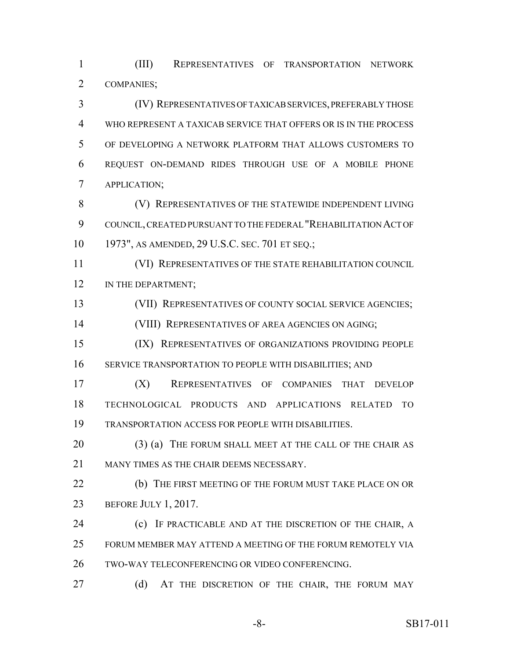(III) REPRESENTATIVES OF TRANSPORTATION NETWORK COMPANIES;

 (IV) REPRESENTATIVES OF TAXICAB SERVICES, PREFERABLY THOSE WHO REPRESENT A TAXICAB SERVICE THAT OFFERS OR IS IN THE PROCESS OF DEVELOPING A NETWORK PLATFORM THAT ALLOWS CUSTOMERS TO REQUEST ON-DEMAND RIDES THROUGH USE OF A MOBILE PHONE APPLICATION;

8 (V) REPRESENTATIVES OF THE STATEWIDE INDEPENDENT LIVING COUNCIL, CREATED PURSUANT TO THE FEDERAL "REHABILITATION ACT OF 1973", AS AMENDED, 29 U.S.C. SEC. 701 ET SEQ.;

 (VI) REPRESENTATIVES OF THE STATE REHABILITATION COUNCIL 12 IN THE DEPARTMENT;

(VII) REPRESENTATIVES OF COUNTY SOCIAL SERVICE AGENCIES;

(VIII) REPRESENTATIVES OF AREA AGENCIES ON AGING;

 (IX) REPRESENTATIVES OF ORGANIZATIONS PROVIDING PEOPLE SERVICE TRANSPORTATION TO PEOPLE WITH DISABILITIES; AND

 (X) REPRESENTATIVES OF COMPANIES THAT DEVELOP TECHNOLOGICAL PRODUCTS AND APPLICATIONS RELATED TO TRANSPORTATION ACCESS FOR PEOPLE WITH DISABILITIES.

20 (3) (a) THE FORUM SHALL MEET AT THE CALL OF THE CHAIR AS MANY TIMES AS THE CHAIR DEEMS NECESSARY.

 (b) THE FIRST MEETING OF THE FORUM MUST TAKE PLACE ON OR BEFORE JULY 1, 2017.

 (c) IF PRACTICABLE AND AT THE DISCRETION OF THE CHAIR, A FORUM MEMBER MAY ATTEND A MEETING OF THE FORUM REMOTELY VIA TWO-WAY TELECONFERENCING OR VIDEO CONFERENCING.

27 (d) AT THE DISCRETION OF THE CHAIR, THE FORUM MAY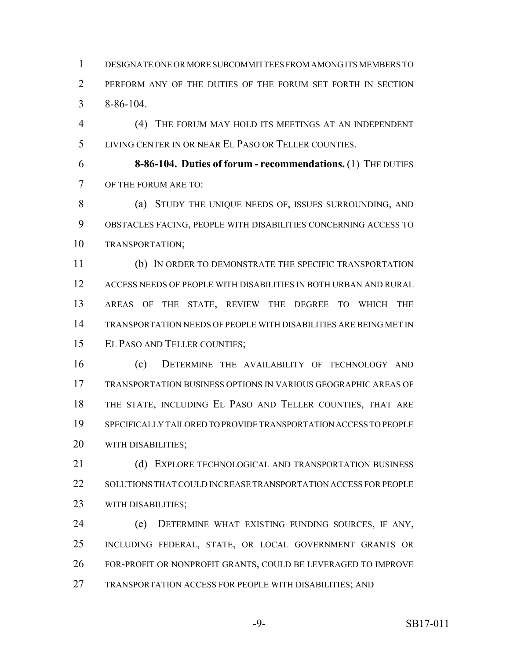DESIGNATE ONE OR MORE SUBCOMMITTEES FROM AMONG ITS MEMBERS TO PERFORM ANY OF THE DUTIES OF THE FORUM SET FORTH IN SECTION 8-86-104.

 (4) THE FORUM MAY HOLD ITS MEETINGS AT AN INDEPENDENT LIVING CENTER IN OR NEAR EL PASO OR TELLER COUNTIES.

 **8-86-104. Duties of forum - recommendations.** (1) THE DUTIES OF THE FORUM ARE TO:

8 (a) STUDY THE UNIQUE NEEDS OF, ISSUES SURROUNDING, AND OBSTACLES FACING, PEOPLE WITH DISABILITIES CONCERNING ACCESS TO TRANSPORTATION;

 (b) IN ORDER TO DEMONSTRATE THE SPECIFIC TRANSPORTATION ACCESS NEEDS OF PEOPLE WITH DISABILITIES IN BOTH URBAN AND RURAL AREAS OF THE STATE, REVIEW THE DEGREE TO WHICH THE TRANSPORTATION NEEDS OF PEOPLE WITH DISABILITIES ARE BEING MET IN EL PASO AND TELLER COUNTIES;

 (c) DETERMINE THE AVAILABILITY OF TECHNOLOGY AND TRANSPORTATION BUSINESS OPTIONS IN VARIOUS GEOGRAPHIC AREAS OF THE STATE, INCLUDING EL PASO AND TELLER COUNTIES, THAT ARE SPECIFICALLY TAILORED TO PROVIDE TRANSPORTATION ACCESS TO PEOPLE WITH DISABILITIES;

21 (d) EXPLORE TECHNOLOGICAL AND TRANSPORTATION BUSINESS SOLUTIONS THAT COULD INCREASE TRANSPORTATION ACCESS FOR PEOPLE WITH DISABILITIES;

 (e) DETERMINE WHAT EXISTING FUNDING SOURCES, IF ANY, INCLUDING FEDERAL, STATE, OR LOCAL GOVERNMENT GRANTS OR FOR-PROFIT OR NONPROFIT GRANTS, COULD BE LEVERAGED TO IMPROVE TRANSPORTATION ACCESS FOR PEOPLE WITH DISABILITIES; AND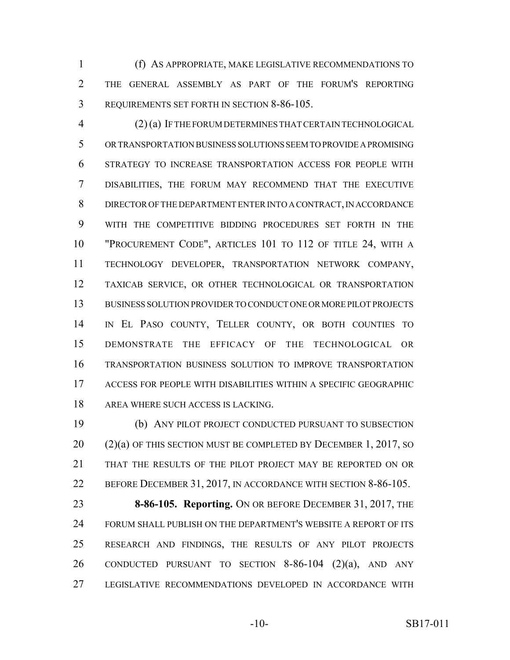(f) AS APPROPRIATE, MAKE LEGISLATIVE RECOMMENDATIONS TO THE GENERAL ASSEMBLY AS PART OF THE FORUM'S REPORTING REQUIREMENTS SET FORTH IN SECTION 8-86-105.

 (2) (a) IF THE FORUM DETERMINES THAT CERTAIN TECHNOLOGICAL OR TRANSPORTATION BUSINESS SOLUTIONS SEEM TO PROVIDE A PROMISING STRATEGY TO INCREASE TRANSPORTATION ACCESS FOR PEOPLE WITH DISABILITIES, THE FORUM MAY RECOMMEND THAT THE EXECUTIVE DIRECTOR OF THE DEPARTMENT ENTER INTO A CONTRACT, IN ACCORDANCE WITH THE COMPETITIVE BIDDING PROCEDURES SET FORTH IN THE "PROCUREMENT CODE", ARTICLES 101 TO 112 OF TITLE 24, WITH A TECHNOLOGY DEVELOPER, TRANSPORTATION NETWORK COMPANY, TAXICAB SERVICE, OR OTHER TECHNOLOGICAL OR TRANSPORTATION BUSINESS SOLUTION PROVIDER TO CONDUCT ONE OR MORE PILOT PROJECTS IN EL PASO COUNTY, TELLER COUNTY, OR BOTH COUNTIES TO DEMONSTRATE THE EFFICACY OF THE TECHNOLOGICAL OR TRANSPORTATION BUSINESS SOLUTION TO IMPROVE TRANSPORTATION ACCESS FOR PEOPLE WITH DISABILITIES WITHIN A SPECIFIC GEOGRAPHIC AREA WHERE SUCH ACCESS IS LACKING.

 (b) ANY PILOT PROJECT CONDUCTED PURSUANT TO SUBSECTION (2)(a) OF THIS SECTION MUST BE COMPLETED BY DECEMBER 1, 2017, SO THAT THE RESULTS OF THE PILOT PROJECT MAY BE REPORTED ON OR BEFORE DECEMBER 31, 2017, IN ACCORDANCE WITH SECTION 8-86-105.

 **8-86-105. Reporting.** ON OR BEFORE DECEMBER 31, 2017, THE FORUM SHALL PUBLISH ON THE DEPARTMENT'S WEBSITE A REPORT OF ITS RESEARCH AND FINDINGS, THE RESULTS OF ANY PILOT PROJECTS CONDUCTED PURSUANT TO SECTION 8-86-104 (2)(a), AND ANY LEGISLATIVE RECOMMENDATIONS DEVELOPED IN ACCORDANCE WITH